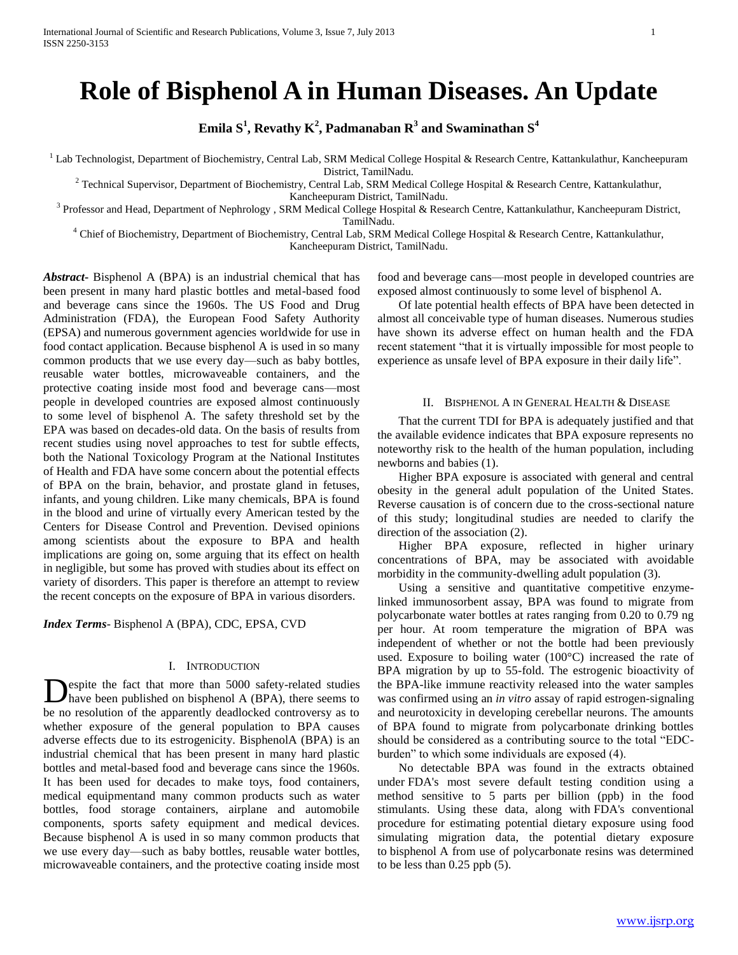# **Role of Bisphenol A in Human Diseases. An Update**

 $\mathbf{E}$ mila  $\mathbf{S}^1$ , Revathy  $\mathbf{K}^2$ , Padmanaban  $\mathbf{R}^3$  and Swaminathan  $\mathbf{S}^4$ 

<sup>1</sup> Lab Technologist, Department of Biochemistry, Central Lab, SRM Medical College Hospital & Research Centre, Kattankulathur, Kancheepuram District, TamilNadu.

 $2$  Technical Supervisor, Department of Biochemistry, Central Lab, SRM Medical College Hospital & Research Centre, Kattankulathur, Kancheepuram District, TamilNadu.

<sup>3</sup> Professor and Head, Department of Nephrology, SRM Medical College Hospital & Research Centre, Kattankulathur, Kancheepuram District, TamilNadu.

<sup>4</sup> Chief of Biochemistry, Department of Biochemistry, Central Lab, SRM Medical College Hospital & Research Centre, Kattankulathur,

Kancheepuram District, TamilNadu.

*Abstract***-** Bisphenol A (BPA) is an industrial chemical that has been present in many hard plastic bottles and metal-based food and beverage cans since the 1960s. The US Food and Drug Administration (FDA), the European Food Safety Authority (EPSA) and numerous government agencies worldwide for use in food contact application. Because bisphenol A is used in so many common products that we use every day—such as baby bottles, reusable water bottles, microwaveable containers, and the protective coating inside most food and beverage cans—most people in developed countries are exposed almost continuously to some level of bisphenol A. The safety threshold set by the EPA was based on decades-old data. On the basis of results from recent studies using novel approaches to test for subtle effects, both the National Toxicology Program at the National Institutes of Health and FDA have some concern about the potential effects of BPA on the brain, behavior, and prostate gland in fetuses, infants, and young children. Like many chemicals, BPA is found in the blood and urine of virtually every American tested by the Centers for Disease Control and Prevention. Devised opinions among scientists about the exposure to BPA and health implications are going on, some arguing that its effect on health in negligible, but some has proved with studies about its effect on variety of disorders. This paper is therefore an attempt to review the recent concepts on the exposure of BPA in various disorders.

*Index Terms*- Bisphenol A (BPA), CDC, EPSA, CVD

# I. INTRODUCTION

espite the fact that more than 5000 safety-related studies have been published on bisphenol A (BPA), there seems to be no resolution of the apparently deadlocked controversy as to whether exposure of the general population to BPA causes adverse effects due to its estrogenicity. BisphenolA (BPA) is an industrial chemical that has been present in many hard plastic bottles and metal-based food and beverage cans since the 1960s. It has been used for decades to make toys, food containers, medical equipmentand many common products such as water bottles, food storage containers, airplane and automobile components, sports safety equipment and medical devices. Because bisphenol A is used in so many common products that we use every day—such as baby bottles, reusable water bottles, microwaveable containers, and the protective coating inside most D

food and beverage cans—most people in developed countries are exposed almost continuously to some level of bisphenol A.

 Of late potential health effects of BPA have been detected in almost all conceivable type of human diseases. Numerous studies have shown its adverse effect on human health and the FDA recent statement "that it is virtually impossible for most people to experience as unsafe level of BPA exposure in their daily life".

# II. BISPHENOL A IN GENERAL HEALTH & DISEASE

 That the current TDI for BPA is adequately justified and that the available evidence indicates that BPA exposure represents no noteworthy risk to the health of the human population, including newborns and babies (1).

 Higher BPA exposure is associated with general and central obesity in the general adult population of the United States. Reverse causation is of concern due to the cross-sectional nature of this study; longitudinal studies are needed to clarify the direction of the association (2).

 Higher BPA exposure, reflected in higher urinary concentrations of BPA, may be associated with avoidable morbidity in the community-dwelling adult population (3).

 Using a sensitive and quantitative competitive enzymelinked immunosorbent assay, BPA was found to migrate from polycarbonate water bottles at rates ranging from 0.20 to 0.79 ng per hour. At room temperature the migration of BPA was independent of whether or not the bottle had been previously used. Exposure to boiling water (100°C) increased the rate of BPA migration by up to 55-fold. The estrogenic bioactivity of the BPA-like immune reactivity released into the water samples was confirmed using an *in vitro* assay of rapid estrogen-signaling and neurotoxicity in developing cerebellar neurons. The amounts of BPA found to migrate from polycarbonate drinking bottles should be considered as a contributing source to the total "EDCburden" to which some individuals are exposed (4).

 No detectable BPA was found in the extracts obtained under FDA's most severe default testing condition using a method sensitive to 5 parts per billion (ppb) in the food stimulants. Using these data, along with FDA's conventional procedure for estimating potential dietary exposure using food simulating migration data, the potential dietary exposure to bisphenol A from use of polycarbonate resins was determined to be less than 0.25 ppb (5).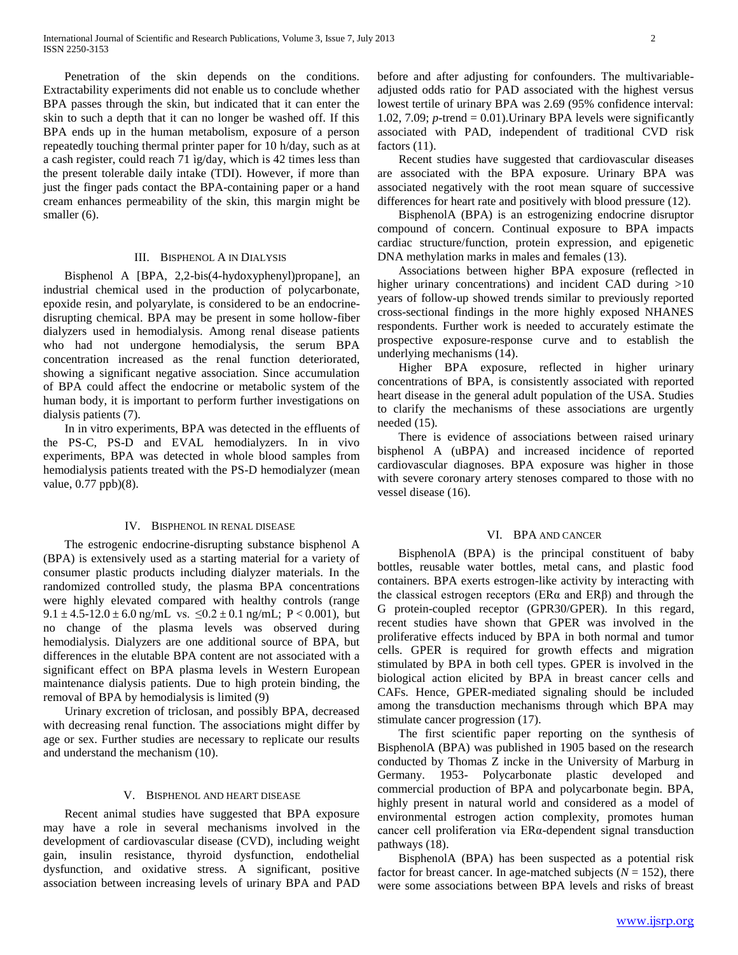Penetration of the skin depends on the conditions. Extractability experiments did not enable us to conclude whether BPA passes through the skin, but indicated that it can enter the skin to such a depth that it can no longer be washed off. If this BPA ends up in the human metabolism, exposure of a person repeatedly touching thermal printer paper for 10 h/day, such as at a cash register, could reach 71 ìg/day, which is 42 times less than the present tolerable daily intake (TDI). However, if more than just the finger pads contact the BPA-containing paper or a hand cream enhances permeability of the skin, this margin might be smaller (6).

# III. BISPHENOL A IN DIALYSIS

 Bisphenol A [BPA, 2,2-bis(4-hydoxyphenyl)propane], an industrial chemical used in the production of polycarbonate, epoxide resin, and polyarylate, is considered to be an endocrinedisrupting chemical. BPA may be present in some hollow-fiber dialyzers used in hemodialysis. Among renal disease patients who had not undergone hemodialysis, the serum BPA concentration increased as the renal function deteriorated, showing a significant negative association. Since accumulation of BPA could affect the endocrine or metabolic system of the human body, it is important to perform further investigations on dialysis patients (7).

 In in vitro experiments, BPA was detected in the effluents of the PS-C, PS-D and EVAL hemodialyzers. In in vivo experiments, BPA was detected in whole blood samples from hemodialysis patients treated with the PS-D hemodialyzer (mean value, 0.77 ppb)(8).

#### IV. BISPHENOL IN RENAL DISEASE

 The estrogenic endocrine-disrupting substance bisphenol A (BPA) is extensively used as a starting material for a variety of consumer plastic products including dialyzer materials. In the randomized controlled study, the plasma BPA concentrations were highly elevated compared with healthy controls (range 9.1 ± 4.5-12.0 ± 6.0 ng/mL vs.  $\leq 0.2 \pm 0.1$  ng/mL; P < 0.001), but no change of the plasma levels was observed during hemodialysis. Dialyzers are one additional source of BPA, but differences in the elutable BPA content are not associated with a significant effect on BPA plasma levels in Western European maintenance dialysis patients. Due to high protein binding, the removal of BPA by hemodialysis is limited (9)

 Urinary excretion of triclosan, and possibly BPA, decreased with decreasing renal function. The associations might differ by age or sex. Further studies are necessary to replicate our results and understand the mechanism (10).

## V. BISPHENOL AND HEART DISEASE

 Recent animal studies have suggested that BPA exposure may have a role in several mechanisms involved in the development of cardiovascular disease (CVD), including weight gain, insulin resistance, thyroid dysfunction, endothelial dysfunction, and oxidative stress. A significant, positive association between increasing levels of urinary BPA and PAD

before and after adjusting for confounders. The multivariableadjusted odds ratio for PAD associated with the highest versus lowest tertile of urinary BPA was 2.69 (95% confidence interval: 1.02, 7.09;  $p$ -trend = 0.01). Urinary BPA levels were significantly associated with PAD, independent of traditional CVD risk factors  $(11)$ .

 Recent studies have suggested that cardiovascular diseases are associated with the BPA exposure. Urinary BPA was associated negatively with the root mean square of successive differences for heart rate and positively with blood pressure (12).

 BisphenolA (BPA) is an estrogenizing endocrine disruptor compound of concern. Continual exposure to BPA impacts cardiac structure/function, protein expression, and epigenetic DNA methylation marks in males and females (13).

 Associations between higher BPA exposure (reflected in higher urinary concentrations) and incident CAD during >10 years of follow-up showed trends similar to previously reported cross-sectional findings in the more highly exposed NHANES respondents. Further work is needed to accurately estimate the prospective exposure-response curve and to establish the underlying mechanisms (14).

 Higher BPA exposure, reflected in higher urinary concentrations of BPA, is consistently associated with reported heart disease in the general adult population of the USA. Studies to clarify the mechanisms of these associations are urgently needed (15).

 There is evidence of associations between raised urinary bisphenol A (uBPA) and increased incidence of reported cardiovascular diagnoses. BPA exposure was higher in those with severe coronary artery stenoses compared to those with no vessel disease (16).

### VI. BPA AND CANCER

 BisphenolA (BPA) is the principal constituent of baby bottles, reusable water bottles, metal cans, and plastic food containers. BPA exerts estrogen-like activity by interacting with the classical estrogen receptors (ERα and ERβ) and through the G protein-coupled receptor (GPR30/GPER). In this regard, recent studies have shown that GPER was involved in the proliferative effects induced by BPA in both normal and tumor cells. GPER is required for growth effects and migration stimulated by BPA in both cell types. GPER is involved in the biological action elicited by BPA in breast cancer cells and CAFs. Hence, GPER-mediated signaling should be included among the transduction mechanisms through which BPA may stimulate cancer progression (17).

 The first scientific paper reporting on the synthesis of BisphenolA (BPA) was published in 1905 based on the research conducted by Thomas Z incke in the University of Marburg in Germany. 1953- Polycarbonate plastic developed and commercial production of BPA and polycarbonate begin. BPA, highly present in natural world and considered as a model of environmental estrogen action complexity, promotes human cancer cell proliferation via ERα-dependent signal transduction pathways (18).

 BisphenolA (BPA) has been suspected as a potential risk factor for breast cancer. In age-matched subjects  $(N = 152)$ , there were some associations between BPA levels and risks of breast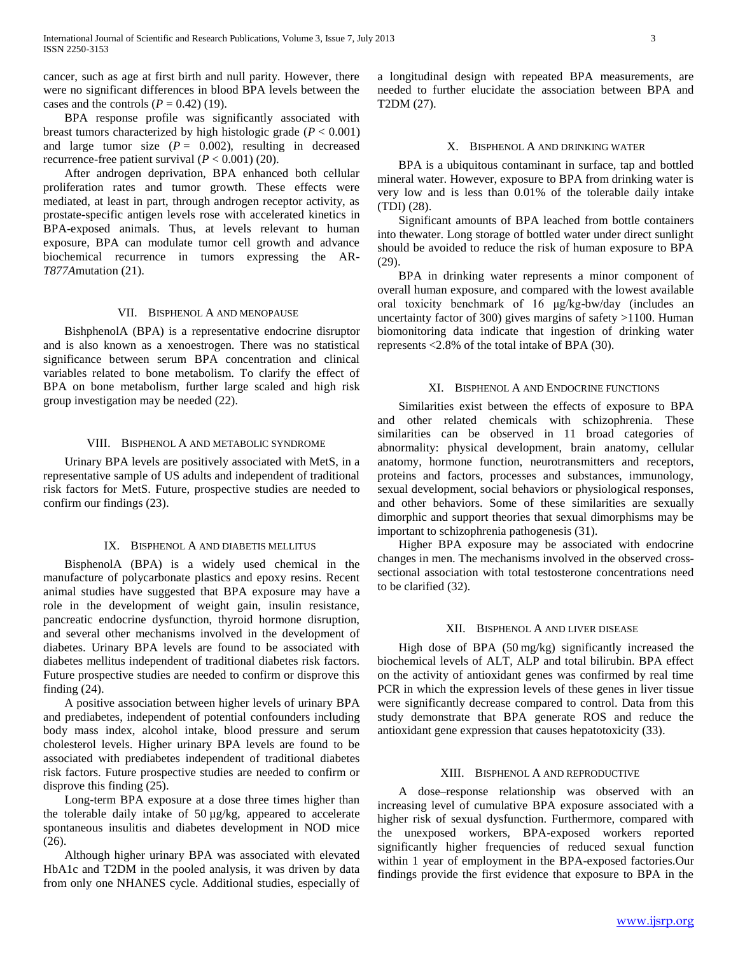cancer, such as age at first birth and null parity. However, there were no significant differences in blood BPA levels between the cases and the controls  $(P = 0.42)$  (19).

 BPA response profile was significantly associated with breast tumors characterized by high histologic grade  $(P < 0.001)$ and large tumor size  $(P = 0.002)$ , resulting in decreased recurrence-free patient survival  $(P < 0.001)$  (20).

 After androgen deprivation, BPA enhanced both cellular proliferation rates and tumor growth. These effects were mediated, at least in part, through androgen receptor activity, as prostate-specific antigen levels rose with accelerated kinetics in BPA-exposed animals. Thus, at levels relevant to human exposure, BPA can modulate tumor cell growth and advance biochemical recurrence in tumors expressing the AR-*T877A*mutation (21).

# VII. BISPHENOL A AND MENOPAUSE

 BishphenolA (BPA) is a representative endocrine disruptor and is also known as a xenoestrogen. There was no statistical significance between serum BPA concentration and clinical variables related to bone metabolism. To clarify the effect of BPA on bone metabolism, further large scaled and high risk group investigation may be needed (22).

### VIII. BISPHENOL A AND METABOLIC SYNDROME

 Urinary BPA levels are positively associated with MetS, in a representative sample of US adults and independent of traditional risk factors for MetS. Future, prospective studies are needed to confirm our findings (23).

### IX. BISPHENOL A AND DIABETIS MELLITUS

 BisphenolA (BPA) is a widely used chemical in the manufacture of polycarbonate plastics and epoxy resins. Recent animal studies have suggested that BPA exposure may have a role in the development of weight gain, insulin resistance, pancreatic endocrine dysfunction, thyroid hormone disruption, and several other mechanisms involved in the development of diabetes. Urinary BPA levels are found to be associated with diabetes mellitus independent of traditional diabetes risk factors. Future prospective studies are needed to confirm or disprove this finding (24).

 A positive association between higher levels of urinary BPA and prediabetes, independent of potential confounders including body mass index, alcohol intake, blood pressure and serum cholesterol levels. Higher urinary BPA levels are found to be associated with prediabetes independent of traditional diabetes risk factors. Future prospective studies are needed to confirm or disprove this finding (25).

 Long-term BPA exposure at a dose three times higher than the tolerable daily intake of 50 µg/kg, appeared to accelerate spontaneous insulitis and diabetes development in NOD mice (26).

 Although higher urinary BPA was associated with elevated HbA1c and T2DM in the pooled analysis, it was driven by data from only one NHANES cycle. Additional studies, especially of

a longitudinal design with repeated BPA measurements, are needed to further elucidate the association between BPA and T2DM (27).

## X. BISPHENOL A AND DRINKING WATER

 BPA is a ubiquitous contaminant in surface, tap and bottled mineral water. However, exposure to BPA from drinking water is very low and is less than 0.01% of the tolerable daily intake (TDI) (28).

 Significant amounts of BPA leached from bottle containers into thewater. Long storage of bottled water under direct sunlight should be avoided to reduce the risk of human exposure to BPA (29).

 BPA in drinking water represents a minor component of overall human exposure, and compared with the lowest available oral toxicity benchmark of 16 μg/kg-bw/day (includes an uncertainty factor of 300) gives margins of safety >1100. Human biomonitoring data indicate that ingestion of drinking water represents <2.8% of the total intake of BPA (30).

#### XI. BISPHENOL A AND ENDOCRINE FUNCTIONS

 Similarities exist between the effects of exposure to BPA and other related chemicals with schizophrenia. These similarities can be observed in 11 broad categories of abnormality: physical development, brain anatomy, cellular anatomy, hormone function, neurotransmitters and receptors, proteins and factors, processes and substances, immunology, sexual development, social behaviors or physiological responses, and other behaviors. Some of these similarities are sexually dimorphic and support theories that sexual dimorphisms may be important to schizophrenia pathogenesis (31).

 Higher BPA exposure may be associated with endocrine changes in men. The mechanisms involved in the observed crosssectional association with total testosterone concentrations need to be clarified (32).

## XII. BISPHENOL A AND LIVER DISEASE

 High dose of BPA (50 mg/kg) significantly increased the biochemical levels of ALT, ALP and total bilirubin. BPA effect on the activity of antioxidant genes was confirmed by real time PCR in which the expression levels of these genes in liver tissue were significantly decrease compared to control. Data from this study demonstrate that BPA generate ROS and reduce the antioxidant gene expression that causes hepatotoxicity (33).

#### XIII. BISPHENOL A AND REPRODUCTIVE

 A dose–response relationship was observed with an increasing level of cumulative BPA exposure associated with a higher risk of sexual dysfunction. Furthermore, compared with the unexposed workers, BPA-exposed workers reported significantly higher frequencies of reduced sexual function within 1 year of employment in the BPA-exposed factories.Our findings provide the first evidence that exposure to BPA in the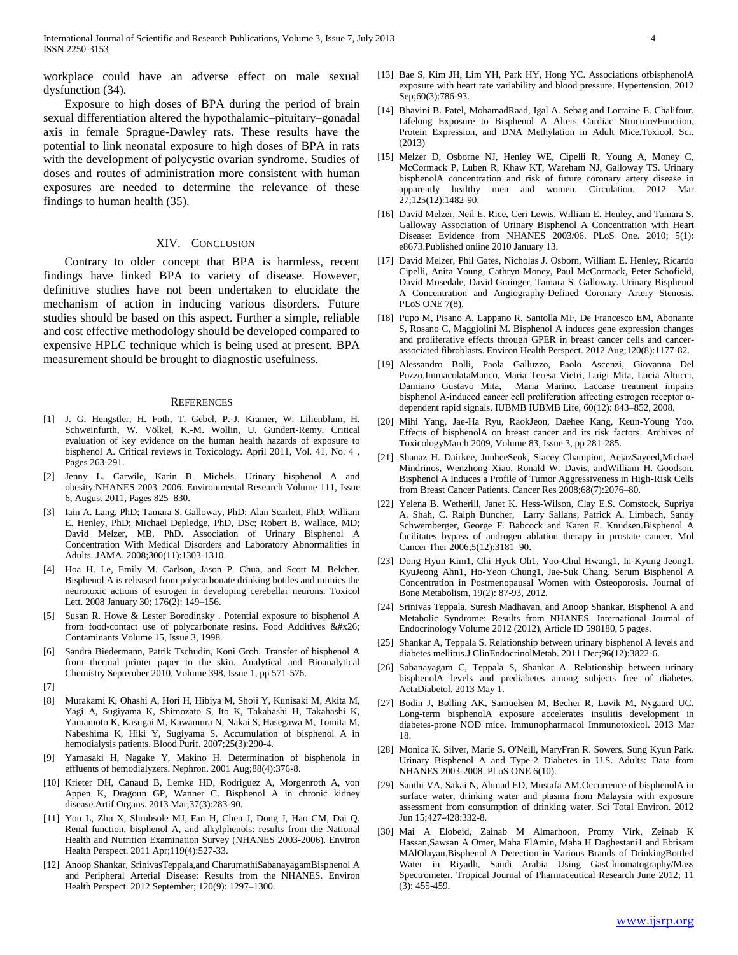workplace could have an adverse effect on male sexual dysfunction (34).

 Exposure to high doses of BPA during the period of brain sexual differentiation altered the hypothalamic–pituitary–gonadal axis in female Sprague-Dawley rats. These results have the potential to link neonatal exposure to high doses of BPA in rats with the development of polycystic ovarian syndrome. Studies of doses and routes of administration more consistent with human exposures are needed to determine the relevance of these findings to human health (35).

#### XIV. CONCLUSION

 Contrary to older concept that BPA is harmless, recent findings have linked BPA to variety of disease. However, definitive studies have not been undertaken to elucidate the mechanism of action in inducing various disorders. Future studies should be based on this aspect. Further a simple, reliable and cost effective methodology should be developed compared to expensive HPLC technique which is being used at present. BPA measurement should be brought to diagnostic usefulness.

#### **REFERENCES**

- [1] J. G. Hengstler, H. Foth, T. Gebel, P.-J. Kramer, W. Lilienblum, H. Schweinfurth, W. Völkel, K.-M. Wollin, U. Gundert-Remy. Critical evaluation of key evidence on the human health hazards of exposure to bisphenol A. Critical reviews in Toxicology. April 2011, Vol. 41, No. 4 , Pages 263-291.
- [2] Jenny L. Carwile, Karin B. Michels. Urinary bisphenol A and obesity:NHANES 2003–2006. Environmental Research Volume 111, Issue 6, August 2011, Pages 825–830.
- [3] Iain A. Lang, PhD; Tamara S. Galloway, PhD; Alan Scarlett, PhD; William E. Henley, PhD; Michael Depledge, PhD, DSc; Robert B. Wallace, MD; David Melzer, MB, PhD. Association of Urinary Bisphenol A Concentration With Medical Disorders and Laboratory Abnormalities in Adults. JAMA. 2008;300(11):1303-1310.
- Hoa H. Le, Emily M. Carlson, Jason P. Chua, and Scott M. Belcher. Bisphenol A is released from polycarbonate drinking bottles and mimics the neurotoxic actions of estrogen in developing cerebellar neurons. Toxicol Lett. 2008 January 30; 176(2): 149–156.
- [5] Susan R. Howe & Lester Borodinsky . Potential exposure to bisphenol A from food-contact use of polycarbonate resins. Food Additives & Contaminants Volume 15, Issue 3, 1998.
- [6] Sandra Biedermann, Patrik Tschudin, Koni Grob. Transfer of bisphenol A from thermal printer paper to the skin. Analytical and Bioanalytical Chemistry September 2010, Volume 398, Issue 1, pp 571-576.
- [7]
- [8] Murakami K, Ohashi A, Hori H, Hibiya M, Shoji Y, Kunisaki M, Akita M, Yagi A, Sugiyama K, Shimozato S, Ito K, Takahashi H, Takahashi K, Yamamoto K, Kasugai M, Kawamura N, Nakai S, Hasegawa M, Tomita M, Nabeshima K, Hiki Y, Sugiyama S. Accumulation of bisphenol A in hemodialysis patients. Blood Purif. 2007;25(3):290-4.
- [9] Yamasaki H, Nagake Y, Makino H. Determination of bisphenola in effluents of hemodialyzers. Nephron. 2001 Aug;88(4):376-8.
- [10] Krieter DH, Canaud B, Lemke HD, Rodriguez A, Morgenroth A, von Appen K, Dragoun GP, Wanner C. Bisphenol A in chronic kidney disease.Artif Organs. 2013 Mar;37(3):283-90.
- [11] You L, Zhu X, Shrubsole MJ, Fan H, Chen J, Dong J, Hao CM, Dai Q. Renal function, bisphenol A, and alkylphenols: results from the National Health and Nutrition Examination Survey (NHANES 2003-2006). Environ Health Perspect. 2011 Apr;119(4):527-33.
- [12] Anoop Shankar, SrinivasTeppala,and CharumathiSabanayagamBisphenol A and Peripheral Arterial Disease: Results from the NHANES. Environ Health Perspect. 2012 September; 120(9): 1297–1300.
- [13] Bae S, Kim JH, Lim YH, Park HY, Hong YC. Associations ofbisphenolA exposure with heart rate variability and blood pressure. Hypertension. 2012 Sep;60(3):786-93.
- [14] Bhavini B. Patel, MohamadRaad, Igal A. Sebag and Lorraine E. Chalifour. Lifelong Exposure to Bisphenol A Alters Cardiac Structure/Function, Protein Expression, and DNA Methylation in Adult Mice.Toxicol. Sci. (2013)
- [15] Melzer D, Osborne NJ, Henley WE, Cipelli R, Young A, Money C, McCormack P, Luben R, Khaw KT, Wareham NJ, Galloway TS. Urinary bisphenolA concentration and risk of future coronary artery disease in apparently healthy men and women. Circulation. 2012 Mar 27;125(12):1482-90.
- [16] David Melzer, Neil E. Rice, Ceri Lewis, William E. Henley, and Tamara S. Galloway Association of Urinary Bisphenol A Concentration with Heart Disease: Evidence from NHANES 2003/06. PLoS One. 2010; 5(1): e8673.Published online 2010 January 13.
- [17] David Melzer, Phil Gates, Nicholas J. Osborn, William E. Henley, Ricardo Cipelli, Anita Young, Cathryn Money, Paul McCormack, Peter Schofield, David Mosedale, David Grainger, Tamara S. Galloway. Urinary Bisphenol A Concentration and Angiography-Defined Coronary Artery Stenosis. PLoS ONE 7(8).
- [18] Pupo M, Pisano A, Lappano R, Santolla MF, De Francesco EM, Abonante S, Rosano C, Maggiolini M. Bisphenol A induces gene expression changes and proliferative effects through GPER in breast cancer cells and cancerassociated fibroblasts. Environ Health Perspect. 2012 Aug;120(8):1177-82.
- [19] Alessandro Bolli, Paola Galluzzo, Paolo Ascenzi, Giovanna Del Pozzo,ImmacolataManco, Maria Teresa Vietri, Luigi Mita, Lucia Altucci, Damiano Gustavo Mita, Maria Marino. Laccase treatment impairs bisphenol A-induced cancer cell proliferation affecting estrogen receptor αdependent rapid signals. IUBMB IUBMB Life, 60(12): 843–852, 2008.
- [20] Mihi Yang, Jae-Ha Ryu, RaokJeon, Daehee Kang, Keun-Young Yoo. Effects of bisphenolA on breast cancer and its risk factors. Archives of ToxicologyMarch 2009, Volume 83, Issue 3, pp 281-285.
- [21] Shanaz H. Dairkee, JunheeSeok, Stacey Champion, AejazSayeed,Michael Mindrinos, Wenzhong Xiao, Ronald W. Davis, andWilliam H. Goodson. Bisphenol A Induces a Profile of Tumor Aggressiveness in High-Risk Cells from Breast Cancer Patients. Cancer Res 2008;68(7):2076–80.
- [22] Yelena B. Wetherill, Janet K. Hess-Wilson, Clay E.S. Comstock, Supriya A. Shah, C. Ralph Buncher, Larry Sallans, Patrick A. Limbach, Sandy Schwemberger, George F. Babcock and Karen E. Knudsen.Bisphenol A facilitates bypass of androgen ablation therapy in prostate cancer. Mol Cancer Ther 2006;5(12):3181–90.
- [23] Dong Hyun Kim1, Chi Hyuk Oh1, Yoo-Chul Hwang1, In-Kyung Jeong1, KyuJeong Ahn1, Ho-Yeon Chung1, Jae-Suk Chang. Serum Bisphenol A Concentration in Postmenopausal Women with Osteoporosis. Journal of Bone Metabolism, 19(2): 87-93, 2012.
- [24] Srinivas Teppala, Suresh Madhavan, and Anoop Shankar. Bisphenol A and Metabolic Syndrome: Results from NHANES. International Journal of Endocrinology Volume 2012 (2012), Article ID 598180, 5 pages.
- [25] Shankar A, Teppala S. Relationship between urinary bisphenol A levels and diabetes mellitus.J ClinEndocrinolMetab. 2011 Dec;96(12):3822-6.
- [26] Sabanayagam C, Teppala S, Shankar A. Relationship between urinary bisphenolA levels and prediabetes among subjects free of diabetes. ActaDiabetol. 2013 May 1.
- [27] Bodin J, Bølling AK, Samuelsen M, Becher R, Løvik M, Nygaard UC. Long-term bisphenolA exposure accelerates insulitis development in diabetes-prone NOD mice. Immunopharmacol Immunotoxicol. 2013 Mar 18.
- [28] Monica K. Silver, Marie S. O'Neill, MaryFran R. Sowers, Sung Kyun Park. Urinary Bisphenol A and Type-2 Diabetes in U.S. Adults: Data from NHANES 2003-2008. PLoS ONE 6(10).
- [29] Santhi VA, Sakai N, Ahmad ED, Mustafa AM.Occurrence of bisphenolA in surface water, drinking water and plasma from Malaysia with exposure assessment from consumption of drinking water. Sci Total Environ. 2012 Jun 15;427-428:332-8.
- [30] Mai A Elobeid, Zainab M Almarhoon, Promy Virk, Zeinab K Hassan,Sawsan A Omer, Maha ElAmin, Maha H Daghestani1 and Ebtisam MAlOlayan.Bisphenol A Detection in Various Brands of DrinkingBottled Water in Riyadh, Saudi Arabia Using GasChromatography/Mass Spectrometer. Tropical Journal of Pharmaceutical Research June 2012; 11 (3): 455-459.